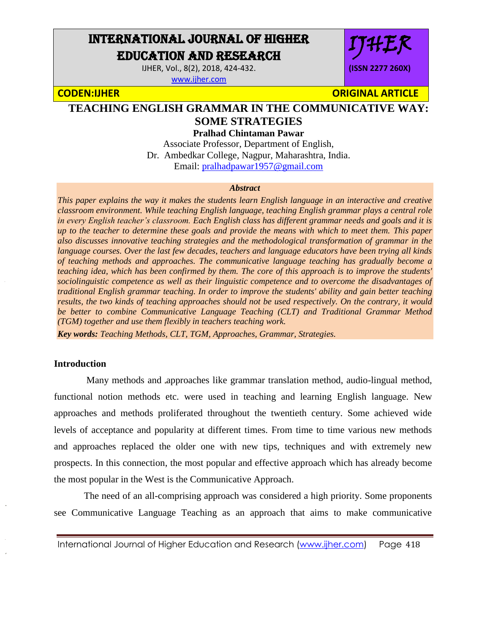# INTERNATIONAL JOURNAL OF HIGHER EDUCATION AND RESEARCH

IJHER, Vol., 8(2), 2018, 424-432. [www.ijher.com](http://www.ijher.com/)

IJHER **(ISSN 2277 260X)**

**CODEN:IJHER ORIGINAL ARTICLE** 

## **TEACHING ENGLISH GRAMMAR IN THE COMMUNICATIVE WAY: SOME STRATEGIES**

**Pralhad Chintaman Pawar**

Associate Professor, Department of English, Dr. Ambedkar College, Nagpur, Maharashtra, India. Email: [pralhadpawar1957@gmail.com](mailto:pralhadpawar1957@gmail.com)

#### *Abstract*

*This paper explains the way it makes the students learn English language in an interactive and creative classroom environment. While teaching English language, teaching English grammar plays a central role in every English teacher's classroom. Each English class has different grammar needs and goals and it is up to the teacher to determine these goals and provide the means with which to meet them. This paper also discusses innovative teaching strategies and the methodological transformation of grammar in the language courses. Over the last few decades, teachers and language educators have been trying all kinds of teaching methods and approaches. The communicative language teaching has gradually become a teaching idea, which has been confirmed by them. The core of this approach is to improve the students' sociolinguistic competence as well as their linguistic competence and to overcome the disadvantages of traditional English grammar teaching. In order to improve the students' ability and gain better teaching results, the two kinds of teaching approaches should not be used respectively. On the contrary, it would be better to combine Communicative Language Teaching (CLT) and Traditional Grammar Method (TGM) together and use them flexibly in teachers teaching work.* 

*Key words: Teaching Methods, CLT, TGM, Approaches, Grammar, Strategies.*

### **Introduction**

 Many methods and approaches like grammar translation method, audio-lingual method, functional notion methods etc. were used in teaching and learning English language. New approaches and methods proliferated throughout the twentieth century. Some achieved wide levels of acceptance and popularity at different times. From time to time various new methods and approaches replaced the older one with new tips, techniques and with extremely new prospects. In this connection, the most popular and effective approach which has already become the most popular in the West is the Communicative Approach.

 The need of an all-comprising approach was considered a high priority. Some proponents see Communicative Language Teaching as an approach that aims to make communicative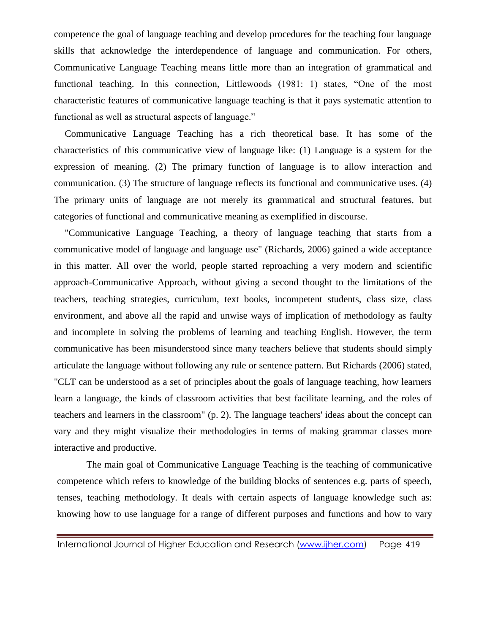competence the goal of language teaching and develop procedures for the teaching four language skills that acknowledge the interdependence of language and communication. For others, Communicative Language Teaching means little more than an integration of grammatical and functional teaching. In this connection, Littlewoods (1981: 1) states, "One of the most characteristic features of communicative language teaching is that it pays systematic attention to functional as well as structural aspects of language."

Communicative Language Teaching has a rich theoretical base. It has some of the characteristics of this communicative view of language like: (1) Language is a system for the expression of meaning. (2) The primary function of language is to allow interaction and communication. (3) The structure of language reflects its functional and communicative uses. (4) The primary units of language are not merely its grammatical and structural features, but categories of functional and communicative meaning as exemplified in discourse.

"Communicative Language Teaching, a theory of language teaching that starts from a communicative model of language and language use" (Richards, 2006) gained a wide acceptance in this matter. All over the world, people started reproaching a very modern and scientific approach-Communicative Approach, without giving a second thought to the limitations of the teachers, teaching strategies, curriculum, text books, incompetent students, class size, class environment, and above all the rapid and unwise ways of implication of methodology as faulty and incomplete in solving the problems of learning and teaching English. However, the term communicative has been misunderstood since many teachers believe that students should simply articulate the language without following any rule or sentence pattern. But Richards (2006) stated, "CLT can be understood as a set of principles about the goals of language teaching, how learners learn a language, the kinds of classroom activities that best facilitate learning, and the roles of teachers and learners in the classroom" (p. 2). The language teachers' ideas about the concept can vary and they might visualize their methodologies in terms of making grammar classes more interactive and productive.

The main goal of Communicative Language Teaching is the teaching of communicative competence which refers to knowledge of the building blocks of sentences e.g. parts of speech, tenses, teaching methodology. It deals with certain aspects of language knowledge such as: knowing how to use language for a range of different purposes and functions and how to vary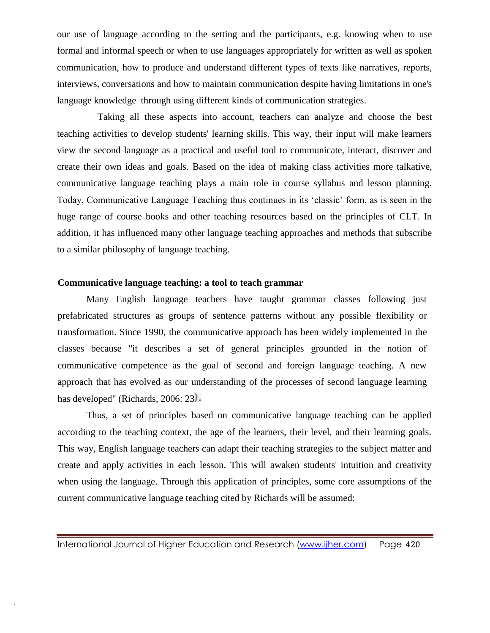our use of language according to the setting and the participants, e.g. knowing when to use formal and informal speech or when to use languages appropriately for written as well as spoken communication, how to produce and understand different types of texts like narratives, reports, interviews, conversations and how to maintain communication despite having limitations in one's language knowledge through using different kinds of communication strategies.

Taking all these aspects into account, teachers can analyze and choose the best teaching activities to develop students' learning skills. This way, their input will make learners view the second language as a practical and useful tool to communicate, interact, discover and create their own ideas and goals. Based on the idea of making class activities more talkative, communicative language teaching plays a main role in course syllabus and lesson planning. Today, Communicative Language Teaching thus continues in its 'classic' form, as is seen in the huge range of course books and other teaching resources based on the principles of CLT. In addition, it has influenced many other language teaching approaches and methods that subscribe to a similar philosophy of language teaching.

### **Communicative language teaching: a tool to teach grammar**

ţ.

Many English language teachers have taught grammar classes following just prefabricated structures as groups of sentence patterns without any possible flexibility or transformation. Since 1990, the communicative approach has been widely implemented in the classes because "it describes a set of general principles grounded in the notion of communicative competence as the goal of second and foreign language teaching. A new approach that has evolved as our understanding of the processes of second language learning has developed" (Richards, 2006: 23).

Thus, a set of principles based on communicative language teaching can be applied according to the teaching context, the age of the learners, their level, and their learning goals. This way, English language teachers can adapt their teaching strategies to the subject matter and create and apply activities in each lesson. This will awaken students' intuition and creativity when using the language. Through this application of principles, some core assumptions of the current communicative language teaching cited by Richards will be assumed: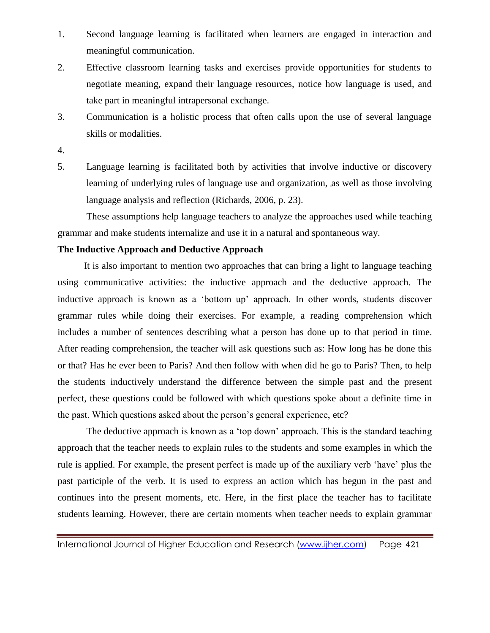- 1. Second language learning is facilitated when learners are engaged in interaction and meaningful communication.
- 2. Effective classroom learning tasks and exercises provide opportunities for students to negotiate meaning, expand their language resources, notice how language is used, and take part in meaningful intrapersonal exchange.
- 3. Communication is a holistic process that often calls upon the use of several language skills or modalities.
- 4.
- 5. Language learning is facilitated both by activities that involve inductive or discovery learning of underlying rules of language use and organization, as well as those involving language analysis and reflection (Richards, 2006, p. 23).

These assumptions help language teachers to analyze the approaches used while teaching grammar and make students internalize and use it in a natural and spontaneous way.

## **The Inductive Approach and Deductive Approach**

It is also important to mention two approaches that can bring a light to language teaching using communicative activities: the inductive approach and the deductive approach. The inductive approach is known as a 'bottom up' approach. In other words, students discover grammar rules while doing their exercises. For example, a reading comprehension which includes a number of sentences describing what a person has done up to that period in time. After reading comprehension, the teacher will ask questions such as: How long has he done this or that? Has he ever been to Paris? And then follow with when did he go to Paris? Then, to help the students inductively understand the difference between the simple past and the present perfect, these questions could be followed with which questions spoke about a definite time in the past. Which questions asked about the person's general experience, etc?

The deductive approach is known as a 'top down' approach. This is the standard teaching approach that the teacher needs to explain rules to the students and some examples in which the rule is applied. For example, the present perfect is made up of the auxiliary verb 'have' plus the past participle of the verb. It is used to express an action which has begun in the past and continues into the present moments, etc. Here, in the first place the teacher has to facilitate students learning. However, there are certain moments when teacher needs to explain grammar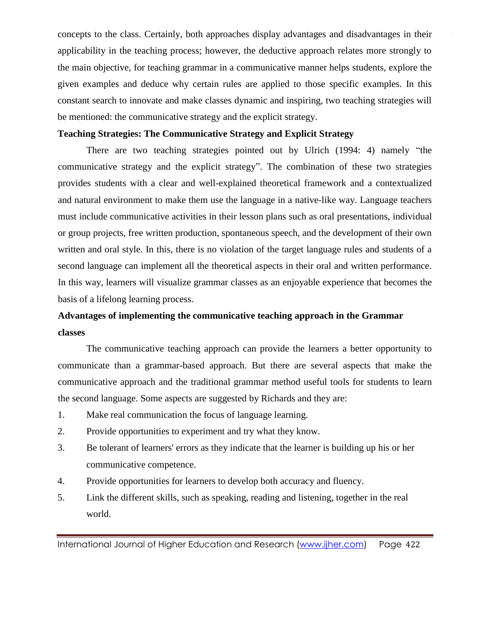concepts to the class. Certainly, both approaches display advantages and disadvantages in their applicability in the teaching process; however, the deductive approach relates more strongly to the main objective, for teaching grammar in a communicative manner helps students, explore the given examples and deduce why certain rules are applied to those specific examples. In this constant search to innovate and make classes dynamic and inspiring, two teaching strategies will be mentioned: the communicative strategy and the explicit strategy.

## **Teaching Strategies: The Communicative Strategy and Explicit Strategy**

There are two teaching strategies pointed out by Ulrich (1994: 4) namely "the communicative strategy and the explicit strategy". The combination of these two strategies provides students with a clear and well-explained theoretical framework and a contextualized and natural environment to make them use the language in a native-like way. Language teachers must include communicative activities in their lesson plans such as oral presentations, individual or group projects, free written production, spontaneous speech, and the development of their own written and oral style. In this, there is no violation of the target language rules and students of a second language can implement all the theoretical aspects in their oral and written performance. In this way, learners will visualize grammar classes as an enjoyable experience that becomes the basis of a lifelong learning process.

## **Advantages of implementing the communicative teaching approach in the Grammar classes**

The communicative teaching approach can provide the learners a better opportunity to communicate than a grammar-based approach. But there are several aspects that make the communicative approach and the traditional grammar method useful tools for students to learn the second language. Some aspects are suggested by Richards and they are:

- 1. Make real communication the focus of language learning.
- 2. Provide opportunities to experiment and try what they know.
- 3. Be tolerant of learners' errors as they indicate that the learner is building up his or her communicative competence.
- 4. Provide opportunities for learners to develop both accuracy and fluency.
- 5. Link the different skills, such as speaking, reading and listening, together in the real world.

International Journal of Higher Education and Research [\(www.ijher.com\)](http://www.ijher.com/) Page 422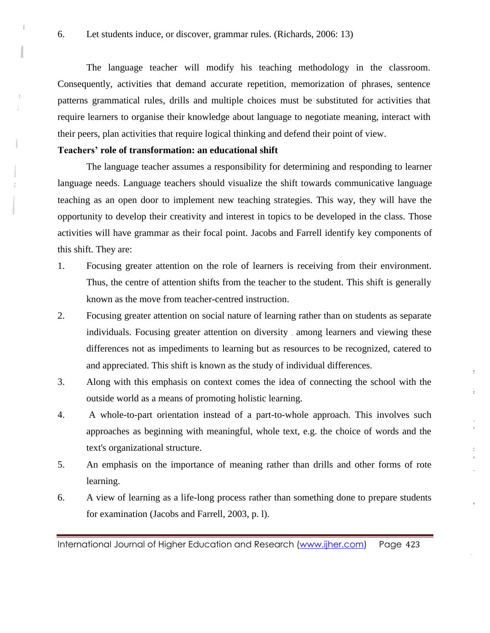The language teacher will modify his teaching methodology in the classroom. Consequently, activities that demand accurate repetition, memorization of phrases, sentence patterns grammatical rules, drills and multiple choices must be substituted for activities that require learners to organise their knowledge about language to negotiate meaning, interact with their peers, plan activities that require logical thinking and defend their point of view.

## **Teachers' role of transformation: an educational shift**

Ĭ.

The language teacher assumes a responsibility for determining and responding to learner language needs. Language teachers should visualize the shift towards communicative language teaching as an open door to implement new teaching strategies. This way, they will have the opportunity to develop their creativity and interest in topics to be developed in the class. Those activities will have grammar as their focal point. Jacobs and Farrell identify key components of this shift. They are:

- 1. Focusing greater attention on the role of learners is receiving from their environment. Thus, the centre of attention shifts from the teacher to the student. This shift is generally known as the move from teacher-centred instruction.
- 2. Focusing greater attention on social nature of learning rather than on students as separate individuals. Focusing greater attention on diversity among learners and viewing these differences not as impediments to learning but as resources to be recognized, catered to and appreciated. This shift is known as the study of individual differences.
- 3. Along with this emphasis on context comes the idea of connecting the school with the outside world as a means of promoting holistic learning.

÷

î.

- 4. A whole-to-part orientation instead of a part-to-whole approach. This involves such approaches as beginning with meaningful, whole text, e.g. the choice of words and the text's organizational structure.
- 5. An emphasis on the importance of meaning rather than drills and other forms of rote learning.
- 6. A view of learning as a life-long process rather than something done to prepare students for examination (Jacobs and Farrell, 2003, p. l).

International Journal of Higher Education and Research [\(www.ijher.com\)](http://www.ijher.com/) Page 423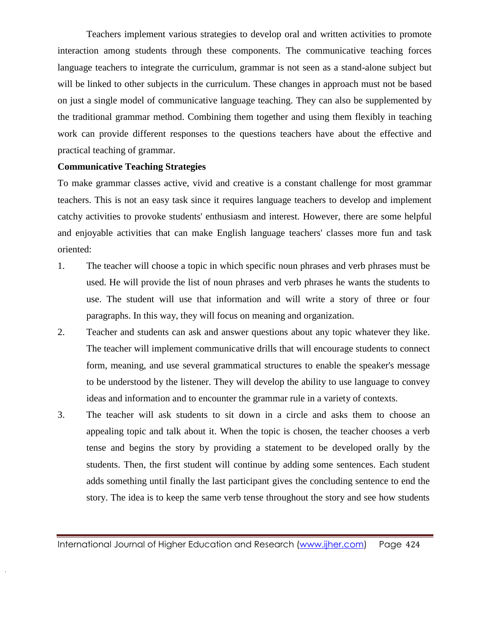Teachers implement various strategies to develop oral and written activities to promote interaction among students through these components. The communicative teaching forces language teachers to integrate the curriculum, grammar is not seen as a stand-alone subject but will be linked to other subjects in the curriculum. These changes in approach must not be based on just a single model of communicative language teaching. They can also be supplemented by the traditional grammar method. Combining them together and using them flexibly in teaching work can provide different responses to the questions teachers have about the effective and practical teaching of grammar.

#### **Communicative Teaching Strategies**

To make grammar classes active, vivid and creative is a constant challenge for most grammar teachers. This is not an easy task since it requires language teachers to develop and implement catchy activities to provoke students' enthusiasm and interest. However, there are some helpful and enjoyable activities that can make English language teachers' classes more fun and task oriented:

- 1. The teacher will choose a topic in which specific noun phrases and verb phrases must be used. He will provide the list of noun phrases and verb phrases he wants the students to use. The student will use that information and will write a story of three or four paragraphs. In this way, they will focus on meaning and organization.
- 2. Teacher and students can ask and answer questions about any topic whatever they like. The teacher will implement communicative drills that will encourage students to connect form, meaning, and use several grammatical structures to enable the speaker's message to be understood by the listener. They will develop the ability to use language to convey ideas and information and to encounter the grammar rule in a variety of contexts.
- 3. The teacher will ask students to sit down in a circle and asks them to choose an appealing topic and talk about it. When the topic is chosen, the teacher chooses a verb tense and begins the story by providing a statement to be developed orally by the students. Then, the first student will continue by adding some sentences. Each student adds something until finally the last participant gives the concluding sentence to end the story. The idea is to keep the same verb tense throughout the story and see how students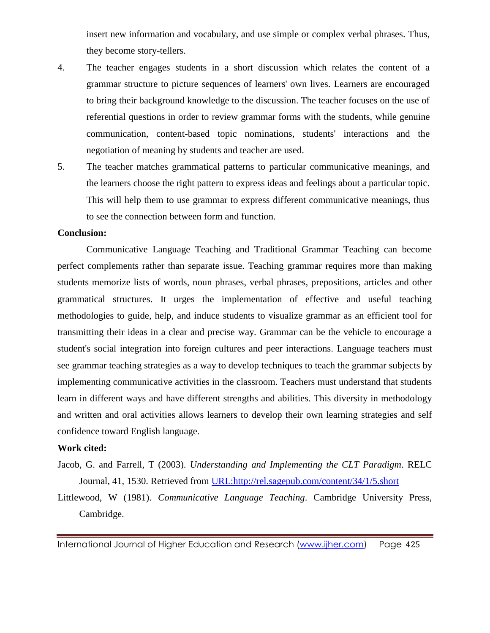insert new information and vocabulary, and use simple or complex verbal phrases. Thus, they become story-tellers.

- 4. The teacher engages students in a short discussion which relates the content of a grammar structure to picture sequences of learners' own lives. Learners are encouraged to bring their background knowledge to the discussion. The teacher focuses on the use of referential questions in order to review grammar forms with the students, while genuine communication, content-based topic nominations, students' interactions and the negotiation of meaning by students and teacher are used.
- 5. The teacher matches grammatical patterns to particular communicative meanings, and the learners choose the right pattern to express ideas and feelings about a particular topic. This will help them to use grammar to express different communicative meanings, thus to see the connection between form and function.

#### **Conclusion:**

Communicative Language Teaching and Traditional Grammar Teaching can become perfect complements rather than separate issue. Teaching grammar requires more than making students memorize lists of words, noun phrases, verbal phrases, prepositions, articles and other grammatical structures. It urges the implementation of effective and useful teaching methodologies to guide, help, and induce students to visualize grammar as an efficient tool for transmitting their ideas in a clear and precise way. Grammar can be the vehicle to encourage a student's social integration into foreign cultures and peer interactions. Language teachers must see grammar teaching strategies as a way to develop techniques to teach the grammar subjects by implementing communicative activities in the classroom. Teachers must understand that students learn in different ways and have different strengths and abilities. This diversity in methodology and written and oral activities allows learners to develop their own learning strategies and self confidence toward English language.

#### **Work cited:**

- Jacob, G. and Farrell, T (2003). *Understanding and Implementing the CLT Paradigm*. RELC Journal, 41, 1530. Retrieved from [URL:http://rel.sagepub.com/content/34/1/5.short](http://rel.sagepub.com/content/34/1/5.short)
- Littlewood, W (1981). *Communicative Language Teaching*. Cambridge University Press, Cambridge.

International Journal of Higher Education and Research [\(www.ijher.com\)](http://www.ijher.com/) Page 425